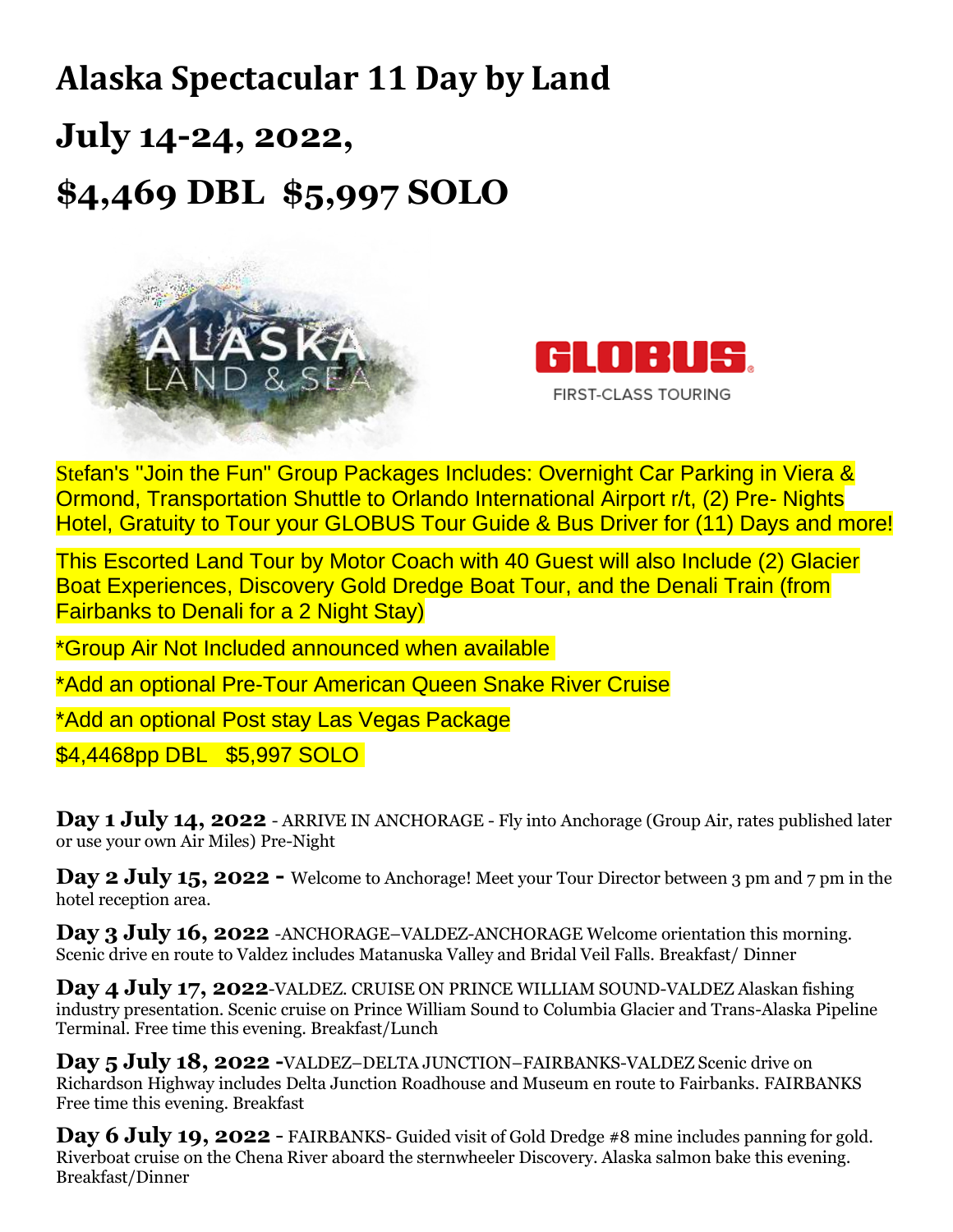## **Alaska Spectacular 11 Day by Land July 14-24, 2022, \$4,469 DBL \$5,997 SOLO**





Stefan's ''Join the Fun" Group Packages Includes: Overnight Car Parking in Viera & Ormond, Transportation Shuttle to Orlando International Airport r/t, (2) Pre- Nights Hotel, Gratuity to Tour your GLOBUS Tour Guide & Bus Driver for (11) Days and more!

This Escorted Land Tour by Motor Coach with 40 Guest will also Include (2) Glacier Boat Experiences, Discovery Gold Dredge Boat Tour, and the Denali Train (from Fairbanks to Denali for a 2 Night Stay)

\*Group Air Not Included announced when available

\*Add an optional Pre-Tour American Queen Snake River Cruise

\*Add an optional Post stay Las Vegas Package

\$4,4468pp DBL \$5,997 SOLO

**Day 1 July 14, 2022** - ARRIVE IN ANCHORAGE - Fly into Anchorage (Group Air, rates published later or use your own Air Miles) Pre-Night

**Day 2 July 15, 2022 -** Welcome to Anchorage! Meet your Tour Director between 3 pm and 7 pm in the hotel reception area.

**Day 3 July 16, 2022** -ANCHORAGE–VALDEZ-ANCHORAGE Welcome orientation this morning. Scenic drive en route to Valdez includes Matanuska Valley and Bridal Veil Falls. Breakfast/ Dinner

**Day 4 July 17, 2022**-VALDEZ. CRUISE ON PRINCE WILLIAM SOUND-VALDEZ Alaskan fishing industry presentation. Scenic cruise on Prince William Sound to Columbia Glacier and Trans-Alaska Pipeline Terminal. Free time this evening. Breakfast/Lunch

**Day 5 July 18, 2022 -**VALDEZ–DELTA JUNCTION–FAIRBANKS-VALDEZ Scenic drive on Richardson Highway includes Delta Junction Roadhouse and Museum en route to Fairbanks. FAIRBANKS Free time this evening. Breakfast

**Day 6 July 19, 2022** - FAIRBANKS- Guided visit of Gold Dredge #8 mine includes panning for gold. Riverboat cruise on the Chena River aboard the sternwheeler Discovery. Alaska salmon bake this evening. Breakfast/Dinner